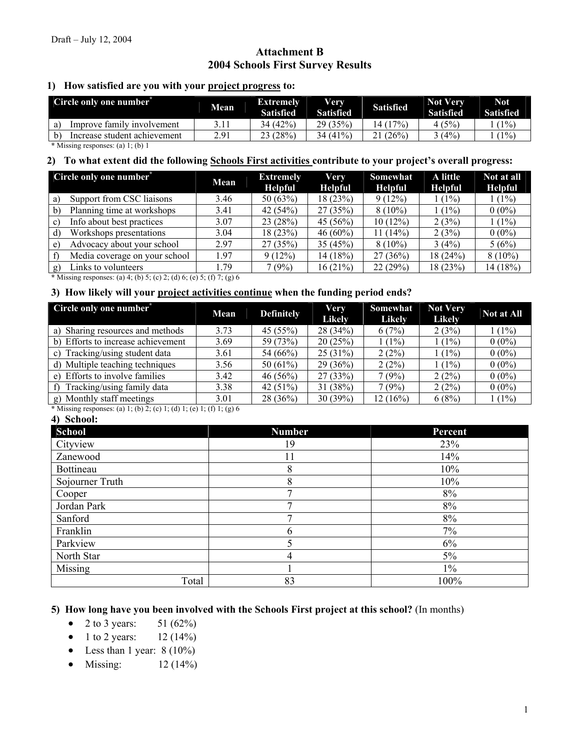# **Attachment B 2004 Schools First Survey Results**

### **1) How satisfied are you with your project progress to:**

| Circle only one number <sup>*</sup> | <b>Mean</b> | <b>Extremely</b><br><b>Satisfied</b> | Verv<br>Satisfied | <b>Satisfied</b> | <b>Not Very</b><br><b>Satisfied</b> | <b>Not</b><br><b>Satisfied</b> |
|-------------------------------------|-------------|--------------------------------------|-------------------|------------------|-------------------------------------|--------------------------------|
| Improve family involvement          |             | 34 (42%)                             | 29 (35%)          | 14 (17%)         | 4 (5%)                              | $1\%)$                         |
| Increase student achievement        | 2.91        | 23 (28%)                             | 34 (41%)          | $(26\%$          | $3(4\%)$                            | $1\%$                          |
| .                                   |             |                                      |                   |                  |                                     |                                |

**\*** Missing responses: (a) 1; (b) 1

### **2) To what extent did the following Schools First activities contribute to your project's overall progress:**

|              | Circle only one number <sup>*</sup> | Mean | <b>Extremely</b><br><b>Helpful</b> | <b>Very</b><br><b>Helpful</b> | Somewhat<br><b>Helpful</b> | A little<br><b>Helpful</b> | Not at all<br><b>Helpful</b> |
|--------------|-------------------------------------|------|------------------------------------|-------------------------------|----------------------------|----------------------------|------------------------------|
| a)           | Support from CSC liaisons           | 3.46 | 50(63%)                            | 18(23%)                       | 9(12%)                     | (1%)                       | $1(1\%)$                     |
| $\mathbf{b}$ | Planning time at workshops          | 3.41 | 42 $(54%)$                         | 27(35%)                       | $8(10\%)$                  | $(1\%)$                    | $0(0\%)$                     |
| $\mathbf{c}$ | Info about best practices           | 3.07 | 23(28%)                            | 45(56%)                       | 10(12%)                    | 2(3%)                      | $1(1\%)$                     |
| d)           | Workshops presentations             | 3.04 | 18(23%)                            | $46(60\%)$                    | $11(14\%)$                 | 2(3%)                      | $0(0\%)$                     |
| e)           | Advocacy about your school          | 297  | 27(35%)                            | 35(45%)                       | $8(10\%)$                  | 3(4%)                      | 5(6%)                        |
|              | Media coverage on your school       | 1.97 | 9(12%)                             | 14 (18%)                      | 27(36%)                    | 18(24%)                    | $8(10\%)$                    |
|              | Links to volunteers                 | 1.79 | 7(9%)                              | 16(21%)                       | 22(29%)                    | 18 (23%)                   | 14(18%)                      |

 **\*** Missing responses: (a) 4; (b) 5; (c) 2; (d) 6; (e) 5; (f) 7; (g) 6

### **3) How likely will your project activities continue when the funding period ends?**

| Circle only one number <sup>®</sup> | Mean | <b>Definitely</b> | Very<br><b>Likely</b> | Somewhat<br><b>Likely</b> | <b>Not Very</b><br><b>Likely</b> | Not at All |
|-------------------------------------|------|-------------------|-----------------------|---------------------------|----------------------------------|------------|
| a) Sharing resources and methods    | 3.73 | 45(55%)           | 28(34%)               | 6(7%)                     | 2(3%)                            | $1(1\%)$   |
| b) Efforts to increase achievement  | 3.69 | 59 (73%)          | 20(25%)               | $(1\%)$                   | $1(1\%)$                         | $0(0\%)$   |
| c) Tracking/using student data      | 3.61 | 54 (66%)          | 25(31%)               | 2(2%)                     | $(1\%)$                          | $0(0\%)$   |
| d) Multiple teaching techniques     | 3.56 | 50 $(61\%)$       | 29(36%)               | 2(2%)                     | $(1\%)$                          | $0(0\%)$   |
| e) Efforts to involve families      | 3.42 | 46(56%)           | 27(33%)               | 7(9%)                     | 2(2%)                            | $0(0\%)$   |
| Tracking/using family data<br>f)    | 3.38 | 42 $(51\%)$       | 31(38%)               | 7(9%)                     | 2(2%)                            | $0(0\%)$   |
| g) Monthly staff meetings           | 3.01 | $28(36\%)$        | 30(39%)               | 12(16%)                   | 6(8%)                            | $1(1\%)$   |

 **\*** Missing responses: (a) 1; (b) 2; (c) 1; (d) 1; (e) 1; (f) 1; (g) 6

#### **4) School:**

| School          | <b>Number</b> | Percent |
|-----------------|---------------|---------|
| Cityview        | 19            | 23%     |
| Zanewood        | 11            | 14%     |
| Bottineau       | 8             | 10%     |
| Sojourner Truth | 8             | 10%     |
| Cooper          |               | 8%      |
| Jordan Park     |               | 8%      |
| Sanford         |               | 8%      |
| Franklin        | 6             | 7%      |
| Parkview        |               | 6%      |
| North Star      | 4             | 5%      |
| Missing         |               | $1\%$   |
| Total           | 83            | 100%    |

## **5) How long have you been involved with the Schools First project at this school?** (In months)

- 2 to 3 years:  $51 (62\%)$
- 1 to 2 years:  $12 (14%)$
- Less than 1 year:  $8(10\%)$
- Missing:  $12 (14%)$